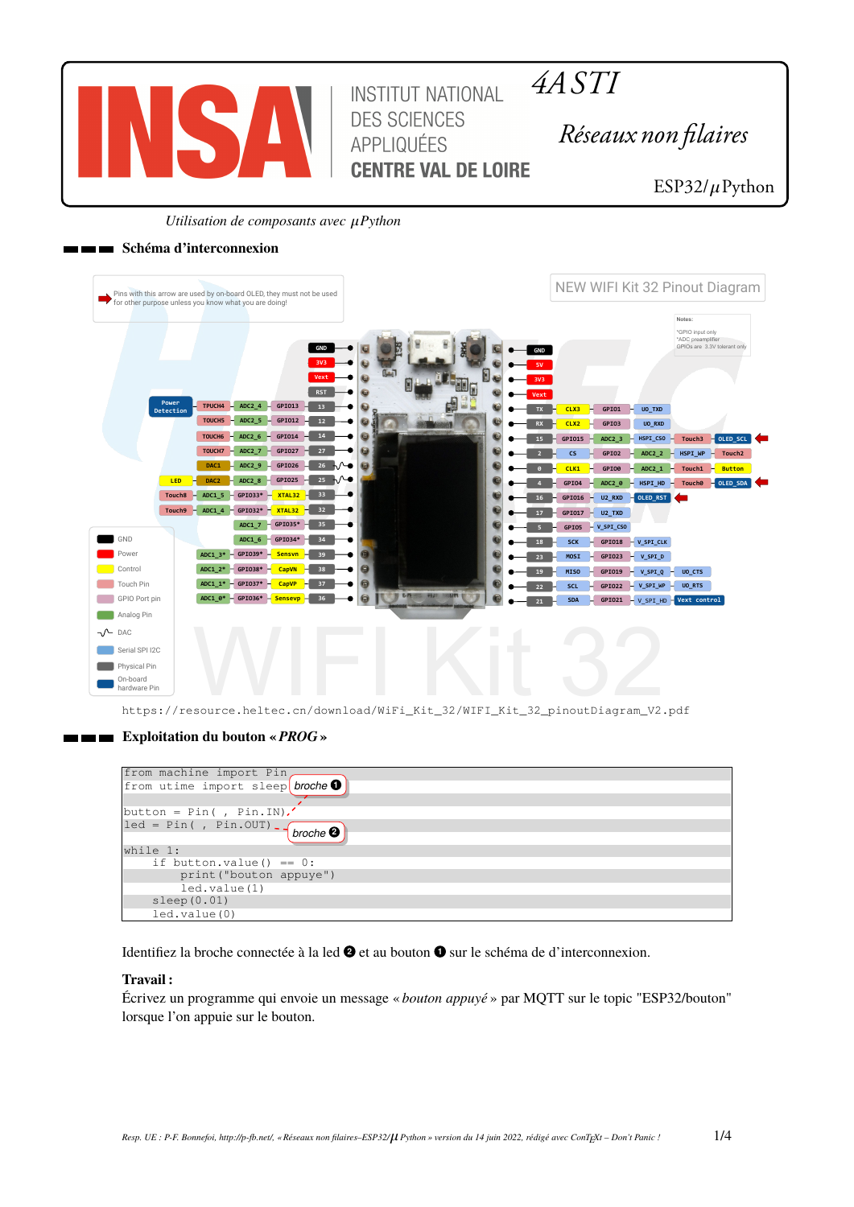

*4A STI*

*Réseaux non filaires*

ESP32/ $\mu$ Python

*Utilisation de composants avec*  $\mu$ *Python* 

## **Schéma d'interconnexion**

| Pins with this arrow are used by on-board OLED, they must not be used<br>for other purpose unless you know what you are doing!                                                                                                               | NEW WIFI Kit 32 Pinout Diagram                                                                                                                 |                                         |
|----------------------------------------------------------------------------------------------------------------------------------------------------------------------------------------------------------------------------------------------|------------------------------------------------------------------------------------------------------------------------------------------------|-----------------------------------------|
| GND<br>3V3<br>Vext                                                                                                                                                                                                                           | Notes:<br>*GPIO input only<br>*ADC preamplifier<br>GPIOs are 3.3V tolerant only<br><b>GND</b>                                                  |                                         |
| <b>RST</b><br>Power<br>TPUCH4<br>ADC2 $4 - 6P1013$<br>13 <sup>°</sup><br>Detection<br>$ADC2_5$<br>GPI012<br>TOUCH5<br>12                                                                                                                     | CLX3<br>GPI01<br>UO_TXD<br>н<br><b>TX</b><br>GPI03<br>CLX <sub>2</sub><br>UO_RXD<br><b>RX</b>                                                  |                                         |
| ADC2 6<br>GPI014<br>14<br>$\overline{\omega}$<br>TOUCH <sub>6</sub><br>0<br>ADC2_7<br>GPI027<br>27<br>TOUCH7<br>ADC2 9<br>GPI026<br>26<br>⊾∿⊷<br>DAC1<br>同                                                                                   | ADC2 <sub>3</sub><br>$HSPI_CSO$<br>Touch3<br>GPI015<br>GPI02<br>HSPI WP<br>$\mathsf{cs}$<br>ADC2 2<br>H.                                       | OLED_SCL<br>Touch <sub>2</sub>          |
| 25<br>⊾∧⊸<br>$-$ GPIO25<br><b>ADC2 8</b><br>LED <sub>1</sub><br>DAC <sub>2</sub><br>- GPI033* - XTAL32 - 33<br>Touch <sub>8</sub><br>ADC1 5                                                                                                  | GPI00<br>ADC2 1<br>Touch1<br>CLK1<br>H<br>HSPI HD<br>GPI04<br>ADC2_0<br><b>Touch0</b><br>GPI016<br>$U2$ <sub>_RXD</sub><br><b>DED_RST</b><br>H | <b>Button</b><br>$\sim$ OLED_SDA $\sim$ |
| $-$ GPI032* $-$ XTAL32 $-$ 32<br>Touch9<br>ADC1 4<br>$-$ GPIO35* $-$<br>35<br>ADC1 7                                                                                                                                                         | GPI017<br>$U2_TXD$<br>н<br>17<br>GPI05<br>$V$ _SPI_CSO                                                                                         |                                         |
| GND<br>$-$ GPI034* $-$<br>$ADC1_6$<br>34<br>$-$ GPI039* $-$<br>ADC1 $3*$<br>Sensvn -<br>39<br>Power                                                                                                                                          | GPIO18 - V_SPI_CLK<br><b>SCK</b><br>GPI023<br>MOSI<br>$-V$ _SPI_D<br>23                                                                        |                                         |
| $ADC1_2^* - GPI038^*$<br>a<br>Control<br><b>CapVN</b><br>38<br>6<br>$ADC1_1* - GPI037*$<br>Touch Pin<br>CapVP<br>37<br><b>U CAN STAR HOURS IN</b><br>$\Theta$<br>$ADC1_0* - GPI036*$<br>36<br>6<br>GPIO Port pin<br><mark>– Sensevp –</mark> | <b>MISO</b><br>GPI019<br>V_SPI_Q<br>UO_CTS<br>н.<br>SCL<br>$-V$ _SPI_WP<br>UO_RTS<br>GPI022<br>H.<br>22                                        |                                         |
| Analog Pin<br>$\neg \wedge$ DAC                                                                                                                                                                                                              | $GPIO21 - V SPI HD - Vext control$<br><b>SDA</b><br>21                                                                                         |                                         |
| Serial SPI I2C                                                                                                                                                                                                                               |                                                                                                                                                |                                         |
| Physical Pin<br>On-board                                                                                                                                                                                                                     |                                                                                                                                                |                                         |

https://resource.heltec.cn/download/WiFi\_Kit\_32/WIFI\_Kit\_32\_pinoutDiagram\_V2.pdf

# **Exploitation du bouton «** *PROG* **»**

| from machine import Pin,                                           |
|--------------------------------------------------------------------|
| from utime import sleep broche $\bullet$                           |
|                                                                    |
| $ $ button = Pin(, Pin.IN).                                        |
| $\text{let} = \text{Pin}($ , Pin.OUT) - $\text{broche}$ $\text{O}$ |
|                                                                    |
| while 1:                                                           |
| if button.value() == $0$ :                                         |
| print ("bouton appuye")                                            |
| led.value(1)                                                       |
| sleep(0.01)                                                        |
| led.value(0)                                                       |

Identifiez la broche connectée à la led  $\bullet$  et au bouton  $\bullet$  sur le schéma de d'interconnexion.

# **Travail :**

Écrivez un programme qui envoie un message « *bouton appuyé* » par MQTT sur le topic "ESP32/bouton" lorsque l'on appuie sur le bouton.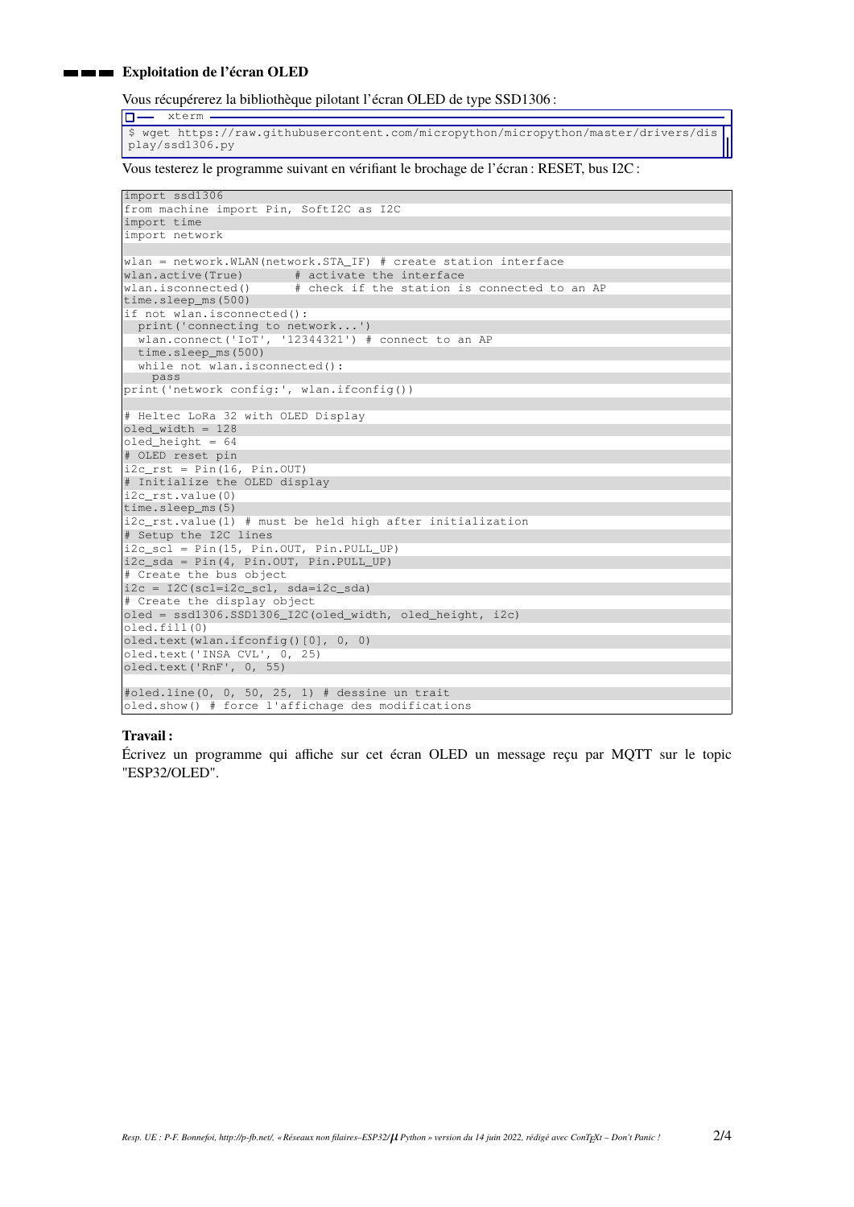### **EXploitation de l'écran OLED**

xterm

Vous récupérerez la bibliothèque pilotant l'écran OLED de type SSD1306 :

 $\overline{\Box}$ \$ wget https://raw.githubusercontent.com/micropython/micropython/master/drivers/dis play/ssd1306.py

Vous testerez le programme suivant en vérifiant le brochage de l'écran : RESET, bus I2C :

```
import ssd1306
from machine import Pin, SoftI2C as I2C
import time
import network
wlan = network.WLAN(network.STA_IF) # create station interface
wlan.active(True) # activate the interface
wlan.isconnected() # check if the station is connected to an AP
time.sleep_ms(500)
if not wlan.isconnected():
print('connecting to network...')
  wlan.connect('IoT', '12344321') # connect to an AP
  time.sleep_ms(500)
  while not wlan.isconnected():
   pass
print('network config:', wlan.ifconfig())
# Heltec LoRa 32 with OLED Display
\text{oledwidth} = 128oled_height = 64
# OLED reset pin
\left| i2c\_rst = Pin(16, Pin.OUT) \right|# Initialize the OLED display
i2c_rst.value(0)
time.sleep_ms(5)
i2c_rst.value(1) # must be held high after initialization
# Setup the I2C lines
i2c_scl = Pin(15, Pin.OUT, Pin.PULL_UP)
i2c_sda = Pin(4, Pin.OUT, Pin.PULL_UP)
# Create the bus object
i2c = 12C(scl=i2c\_scl, sda=i2c\_sda)# Create the display object
oled = ssd1306.SSD1306_I2C(oled_width, oled_height, i2c)
oled.fill(0)
oled.text(wlan.ifconfig()[0], 0, 0)
oled.text('INSA CVL', 0, 25)
oled.text('RnF', 0, 55)
#oled.line(0, 0, 50, 25, 1) # dessine un trait
```
#### **Travail :**

Écrivez un programme qui affiche sur cet écran OLED un message reçu par MQTT sur le topic "ESP32/OLED".

oled.show() # force l'affichage des modifications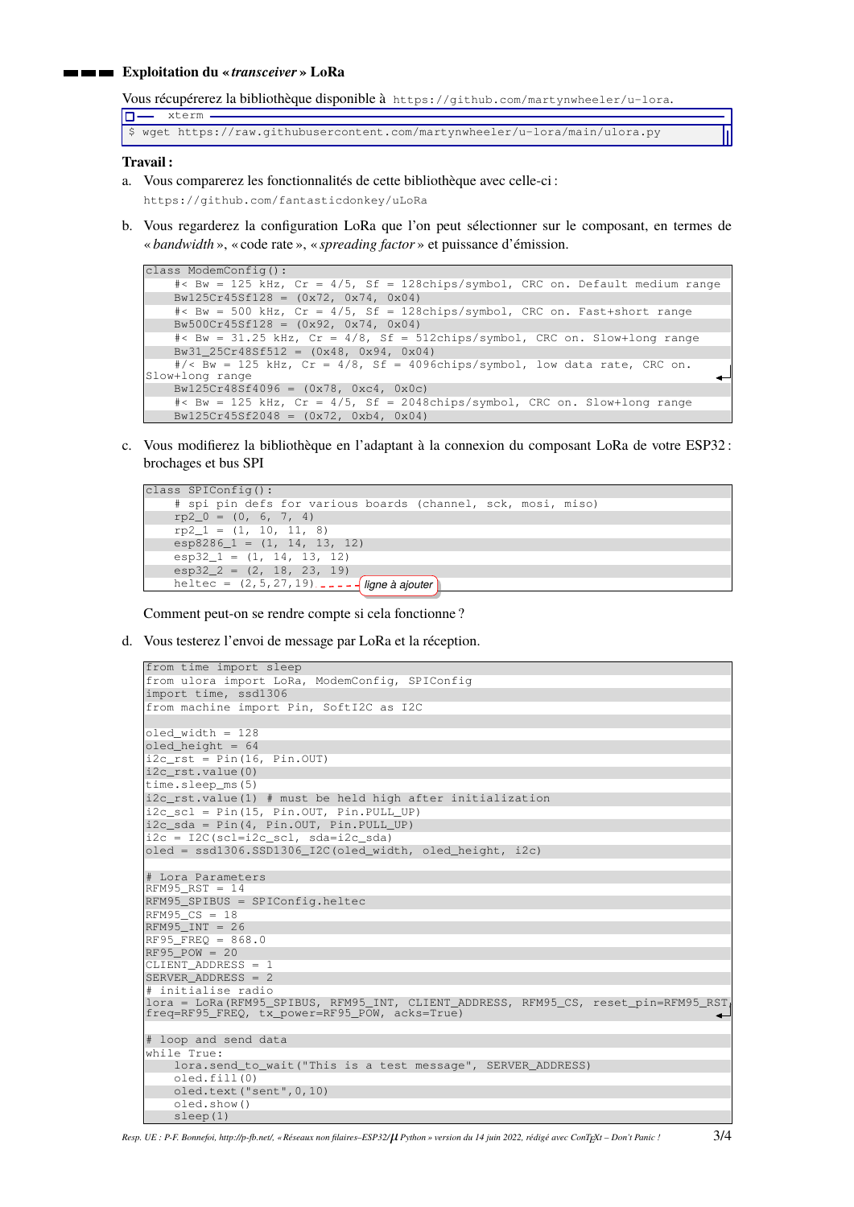### **Exploitation du «** *transceiver* **» LoRa**

Vous récupérerez la bibliothèque disponible à https://github.com/martynwheeler/u-lora.

\$ wget https://raw.githubusercontent.com/martynwheeler/u-lora/main/ulora.py

#### **Travail :**

 $\square$  xterm.

- a. Vous comparerez les fonctionnalités de cette bibliothèque avec celle-ci : https://github.com/fantasticdonkey/uLoRa
- b. Vous regarderez la configuration LoRa que l'on peut sélectionner sur le composant, en termes de « *bandwidth* », « code rate », « *spreading factor* » et puissance d'émission.

```
class ModemConfig():
    #< Bw = 125 kHz, Cr = 4/5, Sf = 128chips/symbol, CRC on. Default medium range
    Bw125Cr45Sf128 = (0x72, 0x74, 0x04)
    #< Bw = 500 kHz, Cr = 4/5, Sf = 128chips/symbol, CRC on. Fast+short range
    Bw500Cr45Sf128 = (0x92, 0x74, 0x04)
    #< Bw = 31.25 kHz, Cr = 4/8, Sf = 512chips/symbol, CRC on. Slow+long range
    Bw31_25Cr48Sf512 = (0x48, 0x94, 0x04)\frac{4}{5} KW = 125 kHz, Cr = 4/8, Sf = 4096chips/symbol, low data rate, CRC on.
Slow+long range
    Bw125Cr48Sf4096 = (0x78, 0xc4, 0x0c)
    \text{#} < Bw = 125 kHz, Cr = 4/5, Sf = 2048chips/symbol, CRC on. Slow+long range
    Bw125Cr45Sf2048 = (0x72, 0xb4, 0x04)
```
c. Vous modifierez la bibliothèque en l'adaptant à la connexion du composant LoRa de votre ESP32 : brochages et bus SPI

```
class SPIConfig():
   # spi pin defs for various boards (channel, sck, mosi, miso)
   rp2_0 = (0, 6, 7, 4)rp2_1 = (1, 10, 11, 8)
    esp8286_1 = (1, 14, 13, 12)
   esp32_1 = (1, 14, 13, 12)
   \exp 32 = (2, 18, 23, 19)heltec = (2,5,27,19) ligne à ajouter
```
Comment peut-on se rendre compte si cela fonctionne ?

d. Vous testerez l'envoi de message par LoRa et la réception.

```
from time import sleep
from ulora import LoRa, ModemConfig, SPIConfig
import time, ssd1306
from machine import Pin, SoftI2C as I2C
oled_width = 128
oled\_height = 64i2c\_rst = Pin(16, Pin.OUT)
i2c_rst.value(0)
time.sleep_ms(5)
i2c_rst.value(1) # must be held high after initialization
i2c_scl = Pin(15, Pin.OUT, Pin.PULL_UP)
i2c_sda = Pin(4, Pin.OUT, Pin.PULL_UP)
i2c = I2C(scl=i2c_scl, sda=i2c_sda)oled = ssd1306.SSD1306_I2C(oled_width, oled_height, i2c)
# Lora Parameters
RFM95_RST = 14
RFM95_SPIBUS = SPIConfig.heltec
RFM95 CS = 18RFM95_INT = 26
RF95 FREQ = 868.0
RF95_POW = 20CLIENT_ADDRESS = 1
SERVER_ADDRESS = 2
 initialise radio
lora = LoRa(RFM95_SPIBUS, RFM95_INT, CLIENT_ADDRESS, RFM95_CS, reset_pin=RFM95_RST,
freq=RF95_FREQ, tx_power=RF95_POW, acks=True)
# loop and send data
while True:
    lora.send_to_wait("This is a test message", SERVER_ADDRESS)
    oled.fill(0)
    oled.text("sent",0,10)
    oled.show()
    sleep(1)
```